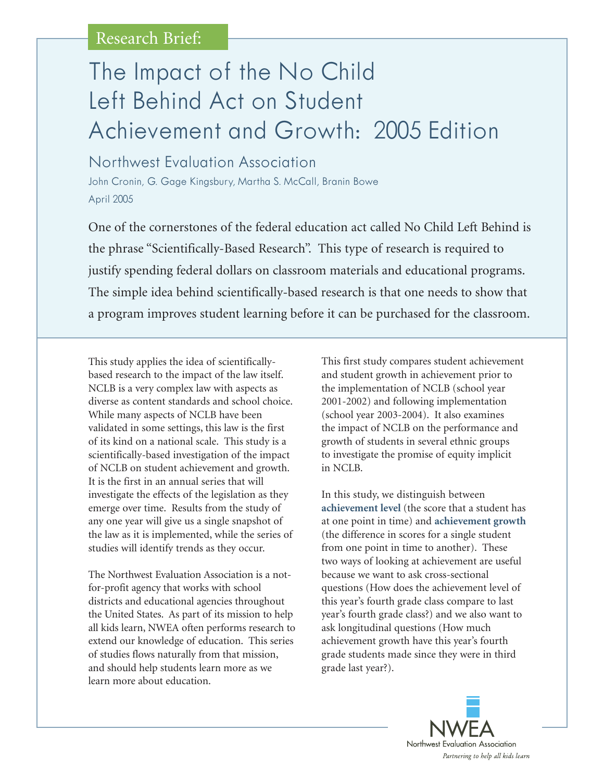# The Impact of the No Child Left Behind Act on Student Achievement and Growth: 2005 Edition

Northwest Evaluation Association John Cronin, G. Gage Kingsbury, Martha S. McCall, Branin Bowe April 2005

One of the cornerstones of the federal education act called No Child Left Behind is the phrase "Scientifically-Based Research". This type of research is required to justify spending federal dollars on classroom materials and educational programs. The simple idea behind scientifically-based research is that one needs to show that a program improves student learning before it can be purchased for the classroom.

This study applies the idea of scientificallybased research to the impact of the law itself. NCLB is a very complex law with aspects as diverse as content standards and school choice. While many aspects of NCLB have been validated in some settings, this law is the first of its kind on a national scale. This study is a scientifically-based investigation of the impact of NCLB on student achievement and growth. It is the first in an annual series that will investigate the effects of the legislation as they emerge over time. Results from the study of any one year will give us a single snapshot of the law as it is implemented, while the series of studies will identify trends as they occur.

The Northwest Evaluation Association is a notfor-profit agency that works with school districts and educational agencies throughout the United States. As part of its mission to help all kids learn, NWEA often performs research to extend our knowledge of education. This series of studies flows naturally from that mission, and should help students learn more as we learn more about education.

This first study compares student achievement and student growth in achievement prior to the implementation of NCLB (school year 2001-2002) and following implementation (school year 2003-2004). It also examines the impact of NCLB on the performance and growth of students in several ethnic groups to investigate the promise of equity implicit in NCLB.

In this study, we distinguish between **achievement level** (the score that a student has at one point in time) and **achievement growth** (the difference in scores for a single student from one point in time to another). These two ways of looking at achievement are useful because we want to ask cross-sectional questions (How does the achievement level of this year's fourth grade class compare to last year's fourth grade class?) and we also want to ask longitudinal questions (How much achievement growth have this year's fourth grade students made since they were in third grade last year?).

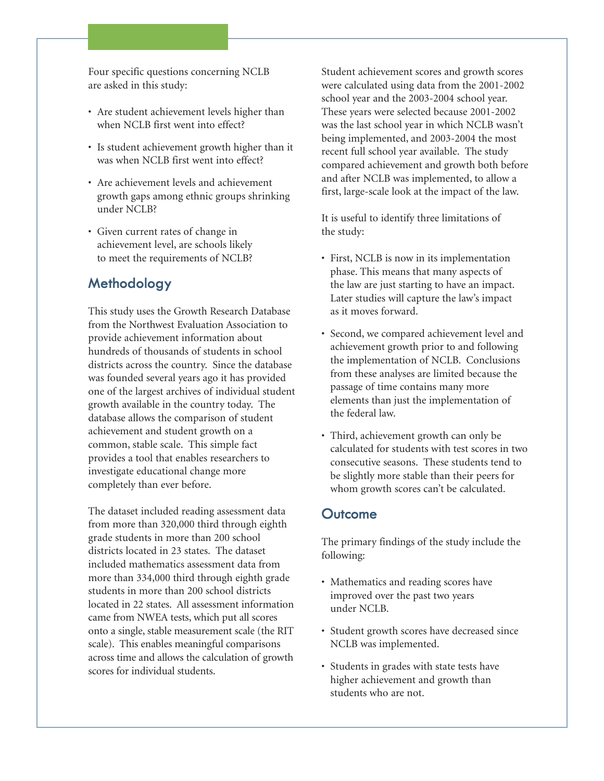Four specific questions concerning NCLB are asked in this study:

- Are student achievement levels higher than when NCLB first went into effect?
- Is student achievement growth higher than it was when NCLB first went into effect?
- Are achievement levels and achievement growth gaps among ethnic groups shrinking under NCLB?
- Given current rates of change in achievement level, are schools likely to meet the requirements of NCLB?

### **Methodology**

This study uses the Growth Research Database from the Northwest Evaluation Association to provide achievement information about hundreds of thousands of students in school districts across the country. Since the database was founded several years ago it has provided one of the largest archives of individual student growth available in the country today. The database allows the comparison of student achievement and student growth on a common, stable scale. This simple fact provides a tool that enables researchers to investigate educational change more completely than ever before.

The dataset included reading assessment data from more than 320,000 third through eighth grade students in more than 200 school districts located in 23 states. The dataset included mathematics assessment data from more than 334,000 third through eighth grade students in more than 200 school districts located in 22 states. All assessment information came from NWEA tests, which put all scores onto a single, stable measurement scale (the RIT scale). This enables meaningful comparisons across time and allows the calculation of growth scores for individual students.

Student achievement scores and growth scores were calculated using data from the 2001-2002 school year and the 2003-2004 school year. These years were selected because 2001-2002 was the last school year in which NCLB wasn't being implemented, and 2003-2004 the most recent full school year available. The study compared achievement and growth both before and after NCLB was implemented, to allow a first, large-scale look at the impact of the law.

It is useful to identify three limitations of the study:

- First, NCLB is now in its implementation phase. This means that many aspects of the law are just starting to have an impact. Later studies will capture the law's impact as it moves forward.
- Second, we compared achievement level and achievement growth prior to and following the implementation of NCLB. Conclusions from these analyses are limited because the passage of time contains many more elements than just the implementation of the federal law.
- Third, achievement growth can only be calculated for students with test scores in two consecutive seasons. These students tend to be slightly more stable than their peers for whom growth scores can't be calculated.

#### **Outcome**

The primary findings of the study include the following:

- Mathematics and reading scores have improved over the past two years under NCLB.
- Student growth scores have decreased since NCLB was implemented.
- Students in grades with state tests have higher achievement and growth than students who are not.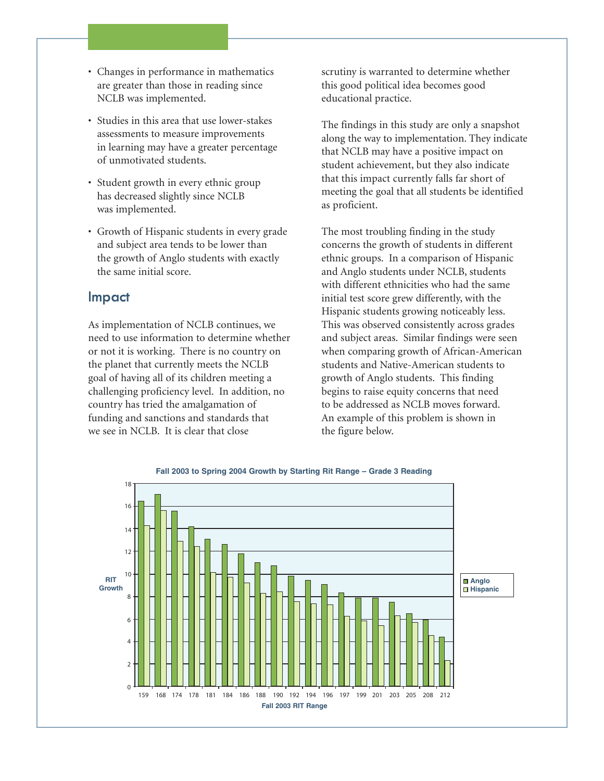- Changes in performance in mathematics are greater than those in reading since NCLB was implemented.
- Studies in this area that use lower-stakes assessments to measure improvements in learning may have a greater percentage of unmotivated students.
- Student growth in every ethnic group has decreased slightly since NCLB was implemented.
- Growth of Hispanic students in every grade and subject area tends to be lower than the growth of Anglo students with exactly the same initial score.

#### **Impact**

As implementation of NCLB continues, we need to use information to determine whether or not it is working. There is no country on the planet that currently meets the NCLB goal of having all of its children meeting a challenging proficiency level. In addition, no country has tried the amalgamation of funding and sanctions and standards that we see in NCLB. It is clear that close

scrutiny is warranted to determine whether this good political idea becomes good educational practice.

The findings in this study are only a snapshot along the way to implementation. They indicate that NCLB may have a positive impact on student achievement, but they also indicate that this impact currently falls far short of meeting the goal that all students be identified as proficient.

The most troubling finding in the study concerns the growth of students in different ethnic groups. In a comparison of Hispanic and Anglo students under NCLB, students with different ethnicities who had the same initial test score grew differently, with the Hispanic students growing noticeably less. This was observed consistently across grades and subject areas. Similar findings were seen when comparing growth of African-American students and Native-American students to growth of Anglo students. This finding begins to raise equity concerns that need to be addressed as NCLB moves forward. An example of this problem is shown in the figure below.